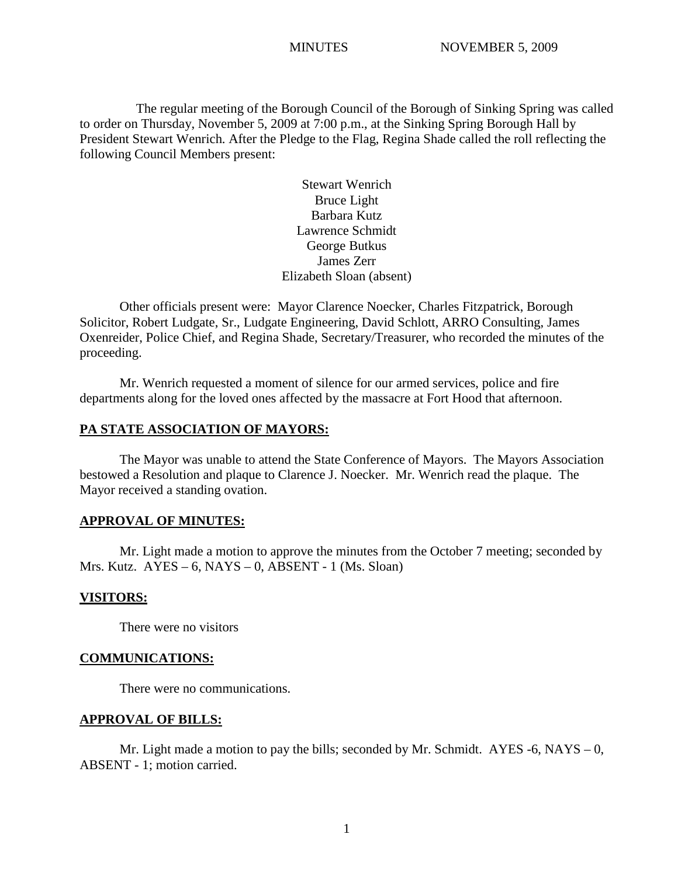The regular meeting of the Borough Council of the Borough of Sinking Spring was called to order on Thursday, November 5, 2009 at 7:00 p.m., at the Sinking Spring Borough Hall by President Stewart Wenrich. After the Pledge to the Flag, Regina Shade called the roll reflecting the following Council Members present:

> Stewart Wenrich Bruce Light Barbara Kutz Lawrence Schmidt George Butkus James Zerr Elizabeth Sloan (absent)

Other officials present were: Mayor Clarence Noecker, Charles Fitzpatrick, Borough Solicitor, Robert Ludgate, Sr., Ludgate Engineering, David Schlott, ARRO Consulting, James Oxenreider, Police Chief, and Regina Shade, Secretary/Treasurer, who recorded the minutes of the proceeding.

Mr. Wenrich requested a moment of silence for our armed services, police and fire departments along for the loved ones affected by the massacre at Fort Hood that afternoon.

#### **PA STATE ASSOCIATION OF MAYORS:**

The Mayor was unable to attend the State Conference of Mayors. The Mayors Association bestowed a Resolution and plaque to Clarence J. Noecker. Mr. Wenrich read the plaque. The Mayor received a standing ovation.

# **APPROVAL OF MINUTES:**

Mr. Light made a motion to approve the minutes from the October 7 meeting; seconded by Mrs. Kutz.  $AYES - 6$ , NAYS  $- 0$ , ABSENT - 1 (Ms. Sloan)

#### **VISITORS:**

There were no visitors

#### **COMMUNICATIONS:**

There were no communications.

#### **APPROVAL OF BILLS:**

Mr. Light made a motion to pay the bills; seconded by Mr. Schmidt.  $AYES - 6$ ,  $NAYS - 0$ , ABSENT - 1; motion carried.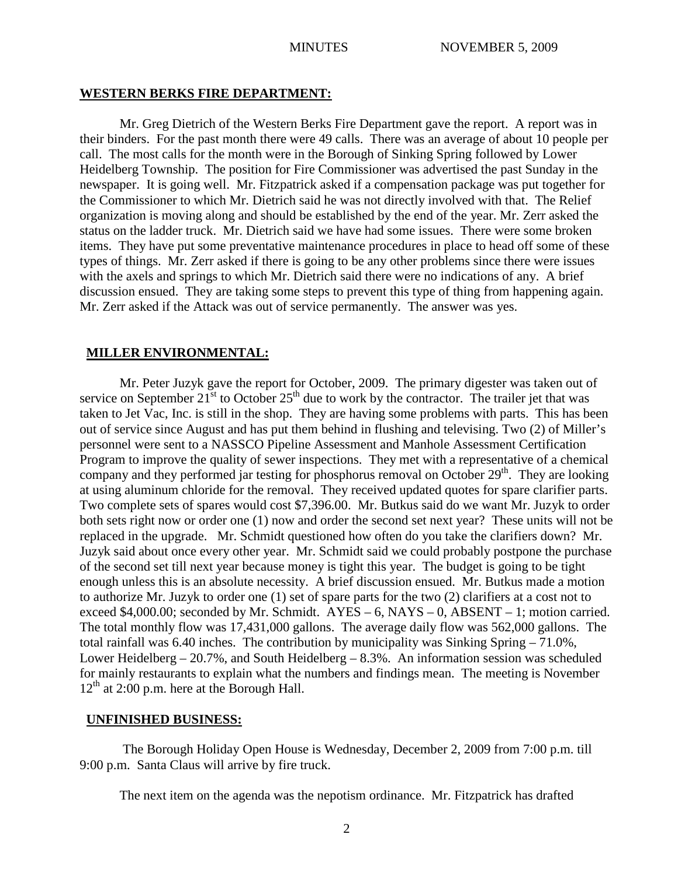#### **WESTERN BERKS FIRE DEPARTMENT:**

Mr. Greg Dietrich of the Western Berks Fire Department gave the report. A report was in their binders. For the past month there were 49 calls. There was an average of about 10 people per call. The most calls for the month were in the Borough of Sinking Spring followed by Lower Heidelberg Township. The position for Fire Commissioner was advertised the past Sunday in the newspaper. It is going well. Mr. Fitzpatrick asked if a compensation package was put together for the Commissioner to which Mr. Dietrich said he was not directly involved with that. The Relief organization is moving along and should be established by the end of the year. Mr. Zerr asked the status on the ladder truck. Mr. Dietrich said we have had some issues. There were some broken items. They have put some preventative maintenance procedures in place to head off some of these types of things. Mr. Zerr asked if there is going to be any other problems since there were issues with the axels and springs to which Mr. Dietrich said there were no indications of any. A brief discussion ensued. They are taking some steps to prevent this type of thing from happening again. Mr. Zerr asked if the Attack was out of service permanently. The answer was yes.

#### **MILLER ENVIRONMENTAL:**

Mr. Peter Juzyk gave the report for October, 2009. The primary digester was taken out of service on September  $21^{st}$  to October  $25^{th}$  due to work by the contractor. The trailer jet that was taken to Jet Vac, Inc. is still in the shop. They are having some problems with parts. This has been out of service since August and has put them behind in flushing and televising. Two (2) of Miller's personnel were sent to a NASSCO Pipeline Assessment and Manhole Assessment Certification Program to improve the quality of sewer inspections. They met with a representative of a chemical company and they performed jar testing for phosphorus removal on October  $29<sup>th</sup>$ . They are looking at using aluminum chloride for the removal. They received updated quotes for spare clarifier parts. Two complete sets of spares would cost \$7,396.00. Mr. Butkus said do we want Mr. Juzyk to order both sets right now or order one (1) now and order the second set next year? These units will not be replaced in the upgrade. Mr. Schmidt questioned how often do you take the clarifiers down? Mr. Juzyk said about once every other year. Mr. Schmidt said we could probably postpone the purchase of the second set till next year because money is tight this year. The budget is going to be tight enough unless this is an absolute necessity. A brief discussion ensued. Mr. Butkus made a motion to authorize Mr. Juzyk to order one (1) set of spare parts for the two (2) clarifiers at a cost not to exceed \$4,000.00; seconded by Mr. Schmidt.  $AYES - 6$ ,  $NAYS - 0$ ,  $ABSENT - 1$ ; motion carried. The total monthly flow was 17,431,000 gallons. The average daily flow was 562,000 gallons. The total rainfall was 6.40 inches. The contribution by municipality was Sinking Spring – 71.0%, Lower Heidelberg – 20.7%, and South Heidelberg – 8.3%. An information session was scheduled for mainly restaurants to explain what the numbers and findings mean. The meeting is November  $12<sup>th</sup>$  at 2:00 p.m. here at the Borough Hall.

#### **UNFINISHED BUSINESS:**

The Borough Holiday Open House is Wednesday, December 2, 2009 from 7:00 p.m. till 9:00 p.m. Santa Claus will arrive by fire truck.

The next item on the agenda was the nepotism ordinance. Mr. Fitzpatrick has drafted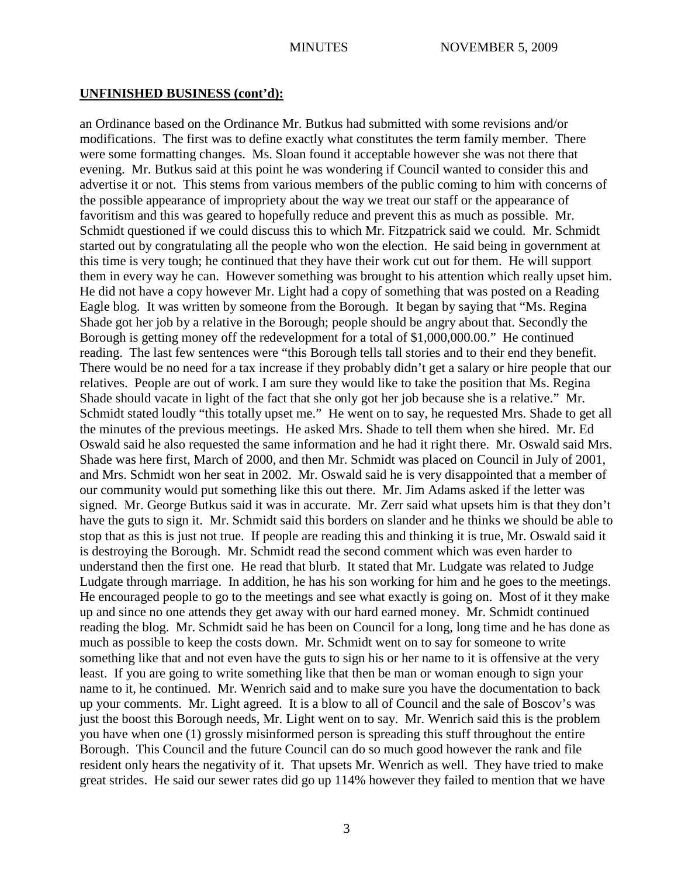an Ordinance based on the Ordinance Mr. Butkus had submitted with some revisions and/or modifications. The first was to define exactly what constitutes the term family member. There were some formatting changes. Ms. Sloan found it acceptable however she was not there that evening. Mr. Butkus said at this point he was wondering if Council wanted to consider this and advertise it or not. This stems from various members of the public coming to him with concerns of the possible appearance of impropriety about the way we treat our staff or the appearance of favoritism and this was geared to hopefully reduce and prevent this as much as possible. Mr. Schmidt questioned if we could discuss this to which Mr. Fitzpatrick said we could. Mr. Schmidt started out by congratulating all the people who won the election. He said being in government at this time is very tough; he continued that they have their work cut out for them. He will support them in every way he can. However something was brought to his attention which really upset him. He did not have a copy however Mr. Light had a copy of something that was posted on a Reading Eagle blog. It was written by someone from the Borough. It began by saying that "Ms. Regina Shade got her job by a relative in the Borough; people should be angry about that. Secondly the Borough is getting money off the redevelopment for a total of \$1,000,000.00." He continued reading. The last few sentences were "this Borough tells tall stories and to their end they benefit. There would be no need for a tax increase if they probably didn't get a salary or hire people that our relatives. People are out of work. I am sure they would like to take the position that Ms. Regina Shade should vacate in light of the fact that she only got her job because she is a relative." Mr. Schmidt stated loudly "this totally upset me." He went on to say, he requested Mrs. Shade to get all the minutes of the previous meetings. He asked Mrs. Shade to tell them when she hired. Mr. Ed Oswald said he also requested the same information and he had it right there. Mr. Oswald said Mrs. Shade was here first, March of 2000, and then Mr. Schmidt was placed on Council in July of 2001, and Mrs. Schmidt won her seat in 2002. Mr. Oswald said he is very disappointed that a member of our community would put something like this out there. Mr. Jim Adams asked if the letter was signed. Mr. George Butkus said it was in accurate. Mr. Zerr said what upsets him is that they don't have the guts to sign it. Mr. Schmidt said this borders on slander and he thinks we should be able to stop that as this is just not true. If people are reading this and thinking it is true, Mr. Oswald said it is destroying the Borough. Mr. Schmidt read the second comment which was even harder to understand then the first one. He read that blurb. It stated that Mr. Ludgate was related to Judge Ludgate through marriage. In addition, he has his son working for him and he goes to the meetings. He encouraged people to go to the meetings and see what exactly is going on. Most of it they make up and since no one attends they get away with our hard earned money. Mr. Schmidt continued reading the blog. Mr. Schmidt said he has been on Council for a long, long time and he has done as much as possible to keep the costs down. Mr. Schmidt went on to say for someone to write something like that and not even have the guts to sign his or her name to it is offensive at the very least. If you are going to write something like that then be man or woman enough to sign your name to it, he continued. Mr. Wenrich said and to make sure you have the documentation to back up your comments. Mr. Light agreed. It is a blow to all of Council and the sale of Boscov's was just the boost this Borough needs, Mr. Light went on to say. Mr. Wenrich said this is the problem you have when one (1) grossly misinformed person is spreading this stuff throughout the entire Borough. This Council and the future Council can do so much good however the rank and file resident only hears the negativity of it. That upsets Mr. Wenrich as well. They have tried to make great strides. He said our sewer rates did go up 114% however they failed to mention that we have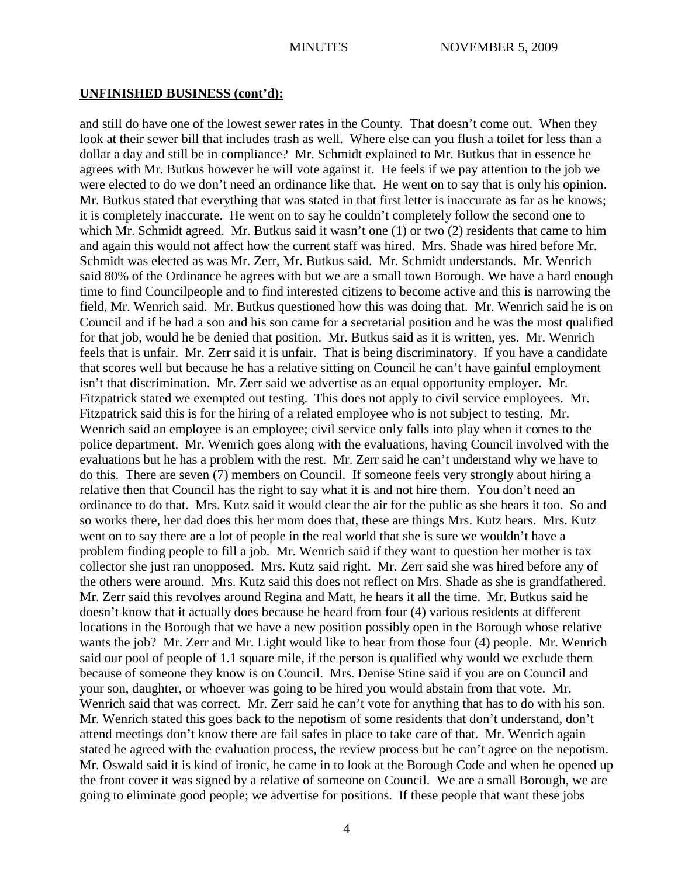and still do have one of the lowest sewer rates in the County. That doesn't come out. When they look at their sewer bill that includes trash as well. Where else can you flush a toilet for less than a dollar a day and still be in compliance? Mr. Schmidt explained to Mr. Butkus that in essence he agrees with Mr. Butkus however he will vote against it. He feels if we pay attention to the job we were elected to do we don't need an ordinance like that. He went on to say that is only his opinion. Mr. Butkus stated that everything that was stated in that first letter is inaccurate as far as he knows; it is completely inaccurate. He went on to say he couldn't completely follow the second one to which Mr. Schmidt agreed. Mr. Butkus said it wasn't one (1) or two (2) residents that came to him and again this would not affect how the current staff was hired. Mrs. Shade was hired before Mr. Schmidt was elected as was Mr. Zerr, Mr. Butkus said. Mr. Schmidt understands. Mr. Wenrich said 80% of the Ordinance he agrees with but we are a small town Borough. We have a hard enough time to find Councilpeople and to find interested citizens to become active and this is narrowing the field, Mr. Wenrich said. Mr. Butkus questioned how this was doing that. Mr. Wenrich said he is on Council and if he had a son and his son came for a secretarial position and he was the most qualified for that job, would he be denied that position. Mr. Butkus said as it is written, yes. Mr. Wenrich feels that is unfair. Mr. Zerr said it is unfair. That is being discriminatory. If you have a candidate that scores well but because he has a relative sitting on Council he can't have gainful employment isn't that discrimination. Mr. Zerr said we advertise as an equal opportunity employer. Mr. Fitzpatrick stated we exempted out testing. This does not apply to civil service employees. Mr. Fitzpatrick said this is for the hiring of a related employee who is not subject to testing. Mr. Wenrich said an employee is an employee; civil service only falls into play when it comes to the police department. Mr. Wenrich goes along with the evaluations, having Council involved with the evaluations but he has a problem with the rest. Mr. Zerr said he can't understand why we have to do this. There are seven (7) members on Council. If someone feels very strongly about hiring a relative then that Council has the right to say what it is and not hire them. You don't need an ordinance to do that. Mrs. Kutz said it would clear the air for the public as she hears it too. So and so works there, her dad does this her mom does that, these are things Mrs. Kutz hears. Mrs. Kutz went on to say there are a lot of people in the real world that she is sure we wouldn't have a problem finding people to fill a job. Mr. Wenrich said if they want to question her mother is tax collector she just ran unopposed. Mrs. Kutz said right. Mr. Zerr said she was hired before any of the others were around. Mrs. Kutz said this does not reflect on Mrs. Shade as she is grandfathered. Mr. Zerr said this revolves around Regina and Matt, he hears it all the time. Mr. Butkus said he doesn't know that it actually does because he heard from four (4) various residents at different locations in the Borough that we have a new position possibly open in the Borough whose relative wants the job? Mr. Zerr and Mr. Light would like to hear from those four (4) people. Mr. Wenrich said our pool of people of 1.1 square mile, if the person is qualified why would we exclude them because of someone they know is on Council. Mrs. Denise Stine said if you are on Council and your son, daughter, or whoever was going to be hired you would abstain from that vote. Mr. Wenrich said that was correct. Mr. Zerr said he can't vote for anything that has to do with his son. Mr. Wenrich stated this goes back to the nepotism of some residents that don't understand, don't attend meetings don't know there are fail safes in place to take care of that. Mr. Wenrich again stated he agreed with the evaluation process, the review process but he can't agree on the nepotism. Mr. Oswald said it is kind of ironic, he came in to look at the Borough Code and when he opened up the front cover it was signed by a relative of someone on Council. We are a small Borough, we are going to eliminate good people; we advertise for positions. If these people that want these jobs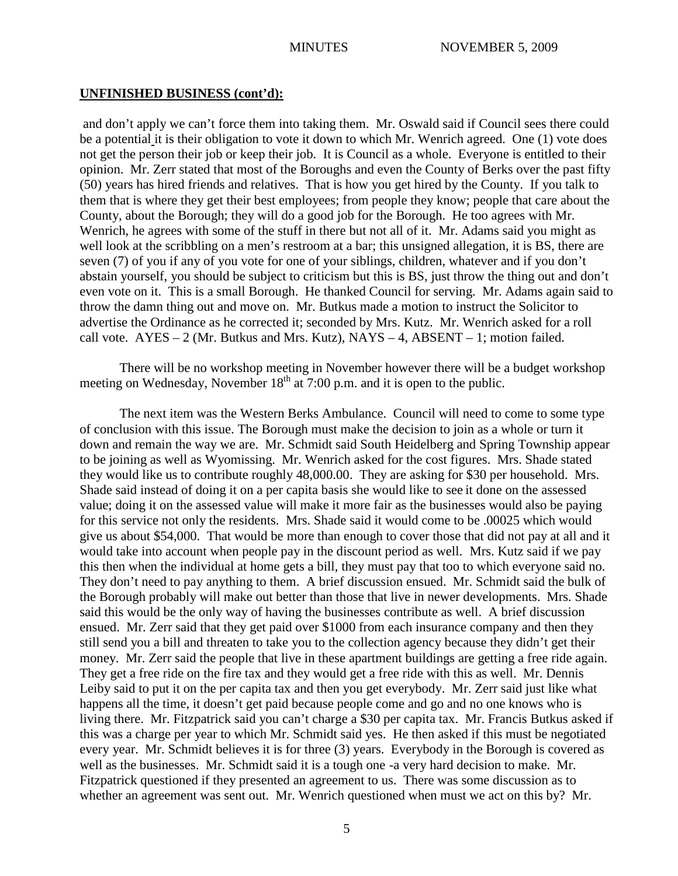and don't apply we can't force them into taking them. Mr. Oswald said if Council sees there could be a potential it is their obligation to vote it down to which Mr. Wenrich agreed. One (1) vote does not get the person their job or keep their job. It is Council as a whole. Everyone is entitled to their opinion. Mr. Zerr stated that most of the Boroughs and even the County of Berks over the past fifty (50) years has hired friends and relatives. That is how you get hired by the County. If you talk to them that is where they get their best employees; from people they know; people that care about the County, about the Borough; they will do a good job for the Borough. He too agrees with Mr. Wenrich, he agrees with some of the stuff in there but not all of it. Mr. Adams said you might as well look at the scribbling on a men's restroom at a bar; this unsigned allegation, it is BS, there are seven (7) of you if any of you vote for one of your siblings, children, whatever and if you don't abstain yourself, you should be subject to criticism but this is BS, just throw the thing out and don't even vote on it. This is a small Borough. He thanked Council for serving. Mr. Adams again said to throw the damn thing out and move on. Mr. Butkus made a motion to instruct the Solicitor to advertise the Ordinance as he corrected it; seconded by Mrs. Kutz. Mr. Wenrich asked for a roll call vote.  $AYES - 2$  (Mr. Butkus and Mrs. Kutz),  $NAYS - 4$ ,  $ABSENT - 1$ ; motion failed.

There will be no workshop meeting in November however there will be a budget workshop meeting on Wednesday, November  $18<sup>th</sup>$  at 7:00 p.m. and it is open to the public.

The next item was the Western Berks Ambulance. Council will need to come to some type of conclusion with this issue. The Borough must make the decision to join as a whole or turn it down and remain the way we are. Mr. Schmidt said South Heidelberg and Spring Township appear to be joining as well as Wyomissing. Mr. Wenrich asked for the cost figures. Mrs. Shade stated they would like us to contribute roughly 48,000.00. They are asking for \$30 per household. Mrs. Shade said instead of doing it on a per capita basis she would like to see it done on the assessed value; doing it on the assessed value will make it more fair as the businesses would also be paying for this service not only the residents. Mrs. Shade said it would come to be .00025 which would give us about \$54,000. That would be more than enough to cover those that did not pay at all and it would take into account when people pay in the discount period as well. Mrs. Kutz said if we pay this then when the individual at home gets a bill, they must pay that too to which everyone said no. They don't need to pay anything to them. A brief discussion ensued. Mr. Schmidt said the bulk of the Borough probably will make out better than those that live in newer developments. Mrs. Shade said this would be the only way of having the businesses contribute as well. A brief discussion ensued. Mr. Zerr said that they get paid over \$1000 from each insurance company and then they still send you a bill and threaten to take you to the collection agency because they didn't get their money. Mr. Zerr said the people that live in these apartment buildings are getting a free ride again. They get a free ride on the fire tax and they would get a free ride with this as well. Mr. Dennis Leiby said to put it on the per capita tax and then you get everybody. Mr. Zerr said just like what happens all the time, it doesn't get paid because people come and go and no one knows who is living there. Mr. Fitzpatrick said you can't charge a \$30 per capita tax. Mr. Francis Butkus asked if this was a charge per year to which Mr. Schmidt said yes. He then asked if this must be negotiated every year. Mr. Schmidt believes it is for three (3) years. Everybody in the Borough is covered as well as the businesses. Mr. Schmidt said it is a tough one -a very hard decision to make. Mr. Fitzpatrick questioned if they presented an agreement to us. There was some discussion as to whether an agreement was sent out. Mr. Wenrich questioned when must we act on this by? Mr.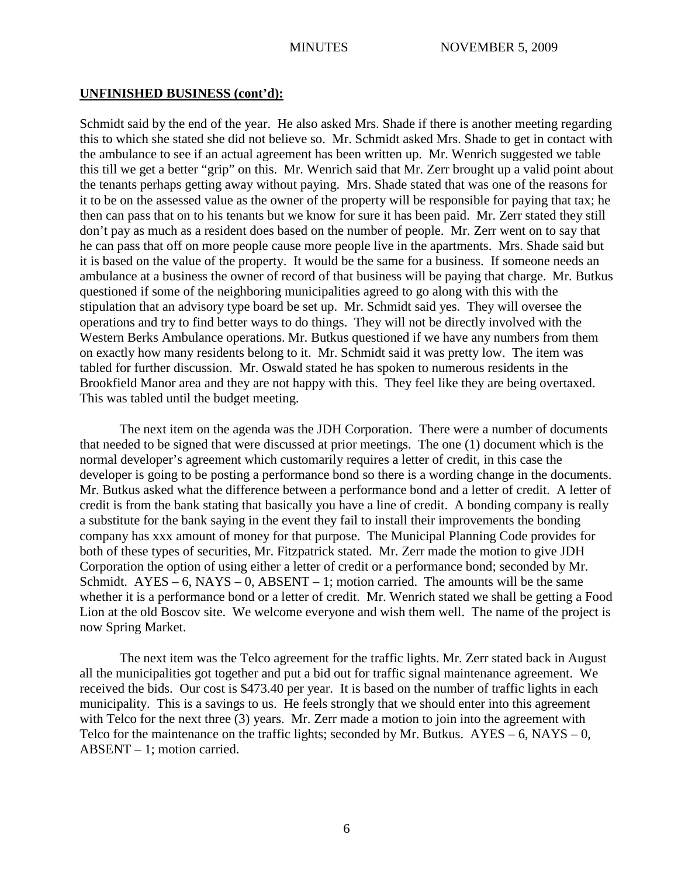Schmidt said by the end of the year. He also asked Mrs. Shade if there is another meeting regarding this to which she stated she did not believe so. Mr. Schmidt asked Mrs. Shade to get in contact with the ambulance to see if an actual agreement has been written up. Mr. Wenrich suggested we table this till we get a better "grip" on this. Mr. Wenrich said that Mr. Zerr brought up a valid point about the tenants perhaps getting away without paying. Mrs. Shade stated that was one of the reasons for it to be on the assessed value as the owner of the property will be responsible for paying that tax; he then can pass that on to his tenants but we know for sure it has been paid. Mr. Zerr stated they still don't pay as much as a resident does based on the number of people. Mr. Zerr went on to say that he can pass that off on more people cause more people live in the apartments. Mrs. Shade said but it is based on the value of the property. It would be the same for a business. If someone needs an ambulance at a business the owner of record of that business will be paying that charge. Mr. Butkus questioned if some of the neighboring municipalities agreed to go along with this with the stipulation that an advisory type board be set up. Mr. Schmidt said yes. They will oversee the operations and try to find better ways to do things. They will not be directly involved with the Western Berks Ambulance operations. Mr. Butkus questioned if we have any numbers from them on exactly how many residents belong to it. Mr. Schmidt said it was pretty low. The item was tabled for further discussion. Mr. Oswald stated he has spoken to numerous residents in the Brookfield Manor area and they are not happy with this. They feel like they are being overtaxed. This was tabled until the budget meeting.

The next item on the agenda was the JDH Corporation. There were a number of documents that needed to be signed that were discussed at prior meetings. The one (1) document which is the normal developer's agreement which customarily requires a letter of credit, in this case the developer is going to be posting a performance bond so there is a wording change in the documents. Mr. Butkus asked what the difference between a performance bond and a letter of credit. A letter of credit is from the bank stating that basically you have a line of credit. A bonding company is really a substitute for the bank saying in the event they fail to install their improvements the bonding company has xxx amount of money for that purpose. The Municipal Planning Code provides for both of these types of securities, Mr. Fitzpatrick stated. Mr. Zerr made the motion to give JDH Corporation the option of using either a letter of credit or a performance bond; seconded by Mr. Schmidt.  $AYES - 6$ ,  $NAYS - 0$ ,  $ABSENT - 1$ ; motion carried. The amounts will be the same whether it is a performance bond or a letter of credit. Mr. Wenrich stated we shall be getting a Food Lion at the old Boscov site. We welcome everyone and wish them well. The name of the project is now Spring Market.

The next item was the Telco agreement for the traffic lights. Mr. Zerr stated back in August all the municipalities got together and put a bid out for traffic signal maintenance agreement. We received the bids. Our cost is \$473.40 per year. It is based on the number of traffic lights in each municipality. This is a savings to us. He feels strongly that we should enter into this agreement with Telco for the next three (3) years. Mr. Zerr made a motion to join into the agreement with Telco for the maintenance on the traffic lights; seconded by Mr. Butkus.  $AYES - 6$ ,  $NAYS - 0$ , ABSENT – 1; motion carried.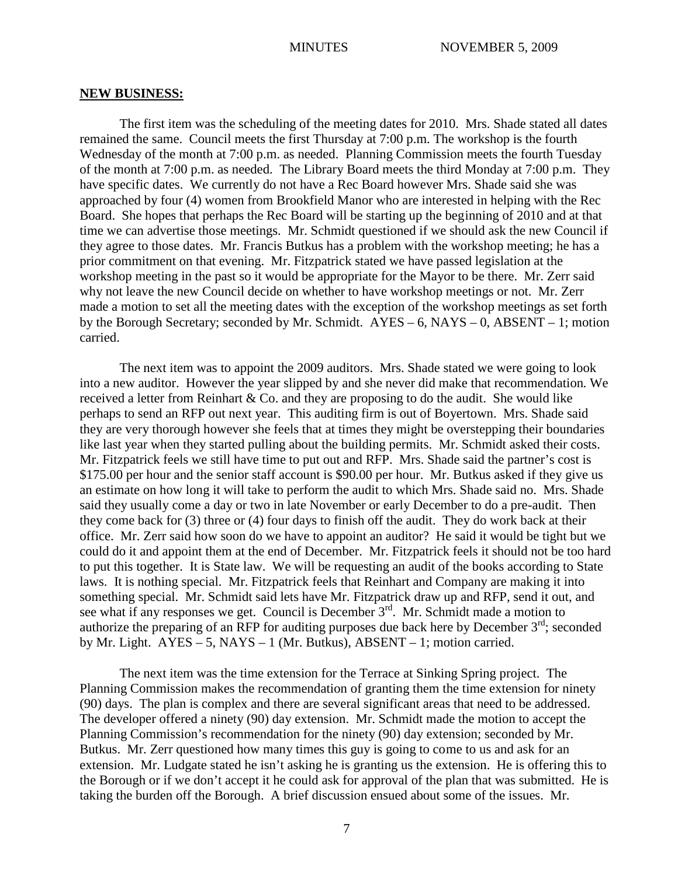#### **NEW BUSINESS:**

The first item was the scheduling of the meeting dates for 2010. Mrs. Shade stated all dates remained the same. Council meets the first Thursday at 7:00 p.m. The workshop is the fourth Wednesday of the month at 7:00 p.m. as needed. Planning Commission meets the fourth Tuesday of the month at 7:00 p.m. as needed. The Library Board meets the third Monday at 7:00 p.m. They have specific dates. We currently do not have a Rec Board however Mrs. Shade said she was approached by four (4) women from Brookfield Manor who are interested in helping with the Rec Board. She hopes that perhaps the Rec Board will be starting up the beginning of 2010 and at that time we can advertise those meetings. Mr. Schmidt questioned if we should ask the new Council if they agree to those dates. Mr. Francis Butkus has a problem with the workshop meeting; he has a prior commitment on that evening. Mr. Fitzpatrick stated we have passed legislation at the workshop meeting in the past so it would be appropriate for the Mayor to be there. Mr. Zerr said why not leave the new Council decide on whether to have workshop meetings or not. Mr. Zerr made a motion to set all the meeting dates with the exception of the workshop meetings as set forth by the Borough Secretary; seconded by Mr. Schmidt. AYES – 6, NAYS – 0, ABSENT – 1; motion carried.

The next item was to appoint the 2009 auditors. Mrs. Shade stated we were going to look into a new auditor. However the year slipped by and she never did make that recommendation. We received a letter from Reinhart  $& Co.$  and they are proposing to do the audit. She would like perhaps to send an RFP out next year. This auditing firm is out of Boyertown. Mrs. Shade said they are very thorough however she feels that at times they might be overstepping their boundaries like last year when they started pulling about the building permits. Mr. Schmidt asked their costs. Mr. Fitzpatrick feels we still have time to put out and RFP. Mrs. Shade said the partner's cost is \$175.00 per hour and the senior staff account is \$90.00 per hour. Mr. Butkus asked if they give us an estimate on how long it will take to perform the audit to which Mrs. Shade said no. Mrs. Shade said they usually come a day or two in late November or early December to do a pre-audit. Then they come back for (3) three or (4) four days to finish off the audit. They do work back at their office. Mr. Zerr said how soon do we have to appoint an auditor? He said it would be tight but we could do it and appoint them at the end of December. Mr. Fitzpatrick feels it should not be too hard to put this together. It is State law. We will be requesting an audit of the books according to State laws. It is nothing special. Mr. Fitzpatrick feels that Reinhart and Company are making it into something special. Mr. Schmidt said lets have Mr. Fitzpatrick draw up and RFP, send it out, and see what if any responses we get. Council is December  $3<sup>rd</sup>$ . Mr. Schmidt made a motion to authorize the preparing of an RFP for auditing purposes due back here by December  $3<sup>rd</sup>$ ; seconded by Mr. Light. AYES – 5, NAYS – 1 (Mr. Butkus), ABSENT – 1; motion carried.

The next item was the time extension for the Terrace at Sinking Spring project. The Planning Commission makes the recommendation of granting them the time extension for ninety (90) days. The plan is complex and there are several significant areas that need to be addressed. The developer offered a ninety (90) day extension. Mr. Schmidt made the motion to accept the Planning Commission's recommendation for the ninety (90) day extension; seconded by Mr. Butkus. Mr. Zerr questioned how many times this guy is going to come to us and ask for an extension. Mr. Ludgate stated he isn't asking he is granting us the extension. He is offering this to the Borough or if we don't accept it he could ask for approval of the plan that was submitted. He is taking the burden off the Borough. A brief discussion ensued about some of the issues. Mr.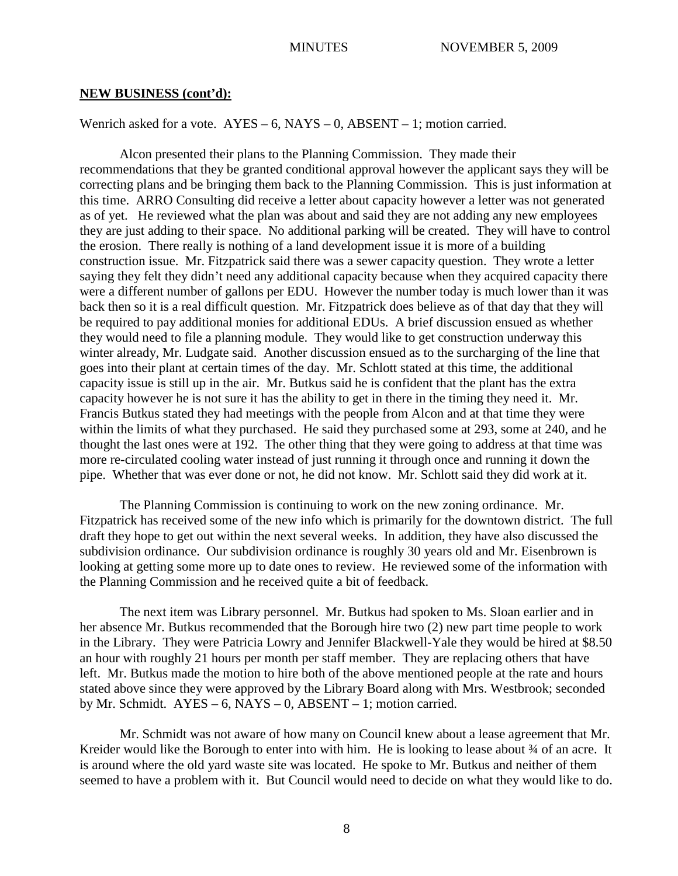#### **NEW BUSINESS (cont'd):**

Wenrich asked for a vote.  $AYES - 6$ ,  $NAYS - 0$ ,  $ABSENT - 1$ ; motion carried.

Alcon presented their plans to the Planning Commission. They made their recommendations that they be granted conditional approval however the applicant says they will be correcting plans and be bringing them back to the Planning Commission. This is just information at this time. ARRO Consulting did receive a letter about capacity however a letter was not generated as of yet. He reviewed what the plan was about and said they are not adding any new employees they are just adding to their space. No additional parking will be created. They will have to control the erosion. There really is nothing of a land development issue it is more of a building construction issue. Mr. Fitzpatrick said there was a sewer capacity question. They wrote a letter saying they felt they didn't need any additional capacity because when they acquired capacity there were a different number of gallons per EDU. However the number today is much lower than it was back then so it is a real difficult question. Mr. Fitzpatrick does believe as of that day that they will be required to pay additional monies for additional EDUs. A brief discussion ensued as whether they would need to file a planning module. They would like to get construction underway this winter already, Mr. Ludgate said. Another discussion ensued as to the surcharging of the line that goes into their plant at certain times of the day. Mr. Schlott stated at this time, the additional capacity issue is still up in the air. Mr. Butkus said he is confident that the plant has the extra capacity however he is not sure it has the ability to get in there in the timing they need it. Mr. Francis Butkus stated they had meetings with the people from Alcon and at that time they were within the limits of what they purchased. He said they purchased some at 293, some at 240, and he thought the last ones were at 192. The other thing that they were going to address at that time was more re-circulated cooling water instead of just running it through once and running it down the pipe. Whether that was ever done or not, he did not know. Mr. Schlott said they did work at it.

The Planning Commission is continuing to work on the new zoning ordinance. Mr. Fitzpatrick has received some of the new info which is primarily for the downtown district. The full draft they hope to get out within the next several weeks. In addition, they have also discussed the subdivision ordinance. Our subdivision ordinance is roughly 30 years old and Mr. Eisenbrown is looking at getting some more up to date ones to review. He reviewed some of the information with the Planning Commission and he received quite a bit of feedback.

The next item was Library personnel. Mr. Butkus had spoken to Ms. Sloan earlier and in her absence Mr. Butkus recommended that the Borough hire two (2) new part time people to work in the Library. They were Patricia Lowry and Jennifer Blackwell-Yale they would be hired at \$8.50 an hour with roughly 21 hours per month per staff member. They are replacing others that have left. Mr. Butkus made the motion to hire both of the above mentioned people at the rate and hours stated above since they were approved by the Library Board along with Mrs. Westbrook; seconded by Mr. Schmidt.  $AYES - 6$ ,  $NAYS - 0$ ,  $ABSENT - 1$ ; motion carried.

Mr. Schmidt was not aware of how many on Council knew about a lease agreement that Mr. Kreider would like the Borough to enter into with him. He is looking to lease about  $\frac{3}{4}$  of an acre. It is around where the old yard waste site was located. He spoke to Mr. Butkus and neither of them seemed to have a problem with it. But Council would need to decide on what they would like to do.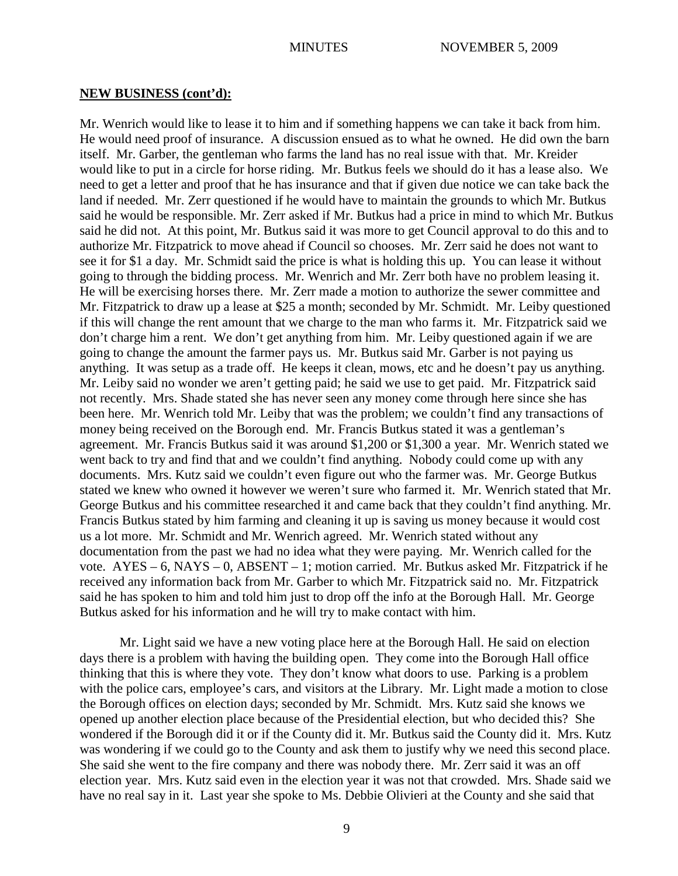#### **NEW BUSINESS (cont'd):**

Mr. Wenrich would like to lease it to him and if something happens we can take it back from him. He would need proof of insurance. A discussion ensued as to what he owned. He did own the barn itself. Mr. Garber, the gentleman who farms the land has no real issue with that. Mr. Kreider would like to put in a circle for horse riding. Mr. Butkus feels we should do it has a lease also. We need to get a letter and proof that he has insurance and that if given due notice we can take back the land if needed. Mr. Zerr questioned if he would have to maintain the grounds to which Mr. Butkus said he would be responsible. Mr. Zerr asked if Mr. Butkus had a price in mind to which Mr. Butkus said he did not. At this point, Mr. Butkus said it was more to get Council approval to do this and to authorize Mr. Fitzpatrick to move ahead if Council so chooses. Mr. Zerr said he does not want to see it for \$1 a day. Mr. Schmidt said the price is what is holding this up. You can lease it without going to through the bidding process. Mr. Wenrich and Mr. Zerr both have no problem leasing it. He will be exercising horses there. Mr. Zerr made a motion to authorize the sewer committee and Mr. Fitzpatrick to draw up a lease at \$25 a month; seconded by Mr. Schmidt. Mr. Leiby questioned if this will change the rent amount that we charge to the man who farms it. Mr. Fitzpatrick said we don't charge him a rent. We don't get anything from him. Mr. Leiby questioned again if we are going to change the amount the farmer pays us. Mr. Butkus said Mr. Garber is not paying us anything. It was setup as a trade off. He keeps it clean, mows, etc and he doesn't pay us anything. Mr. Leiby said no wonder we aren't getting paid; he said we use to get paid. Mr. Fitzpatrick said not recently. Mrs. Shade stated she has never seen any money come through here since she has been here. Mr. Wenrich told Mr. Leiby that was the problem; we couldn't find any transactions of money being received on the Borough end. Mr. Francis Butkus stated it was a gentleman's agreement. Mr. Francis Butkus said it was around \$1,200 or \$1,300 a year. Mr. Wenrich stated we went back to try and find that and we couldn't find anything. Nobody could come up with any documents. Mrs. Kutz said we couldn't even figure out who the farmer was. Mr. George Butkus stated we knew who owned it however we weren't sure who farmed it. Mr. Wenrich stated that Mr. George Butkus and his committee researched it and came back that they couldn't find anything. Mr. Francis Butkus stated by him farming and cleaning it up is saving us money because it would cost us a lot more. Mr. Schmidt and Mr. Wenrich agreed. Mr. Wenrich stated without any documentation from the past we had no idea what they were paying. Mr. Wenrich called for the vote. AYES – 6, NAYS – 0, ABSENT – 1; motion carried. Mr. Butkus asked Mr. Fitzpatrick if he received any information back from Mr. Garber to which Mr. Fitzpatrick said no. Mr. Fitzpatrick said he has spoken to him and told him just to drop off the info at the Borough Hall. Mr. George Butkus asked for his information and he will try to make contact with him.

Mr. Light said we have a new voting place here at the Borough Hall. He said on election days there is a problem with having the building open. They come into the Borough Hall office thinking that this is where they vote. They don't know what doors to use. Parking is a problem with the police cars, employee's cars, and visitors at the Library. Mr. Light made a motion to close the Borough offices on election days; seconded by Mr. Schmidt. Mrs. Kutz said she knows we opened up another election place because of the Presidential election, but who decided this? She wondered if the Borough did it or if the County did it. Mr. Butkus said the County did it. Mrs. Kutz was wondering if we could go to the County and ask them to justify why we need this second place. She said she went to the fire company and there was nobody there. Mr. Zerr said it was an off election year. Mrs. Kutz said even in the election year it was not that crowded. Mrs. Shade said we have no real say in it. Last year she spoke to Ms. Debbie Olivieri at the County and she said that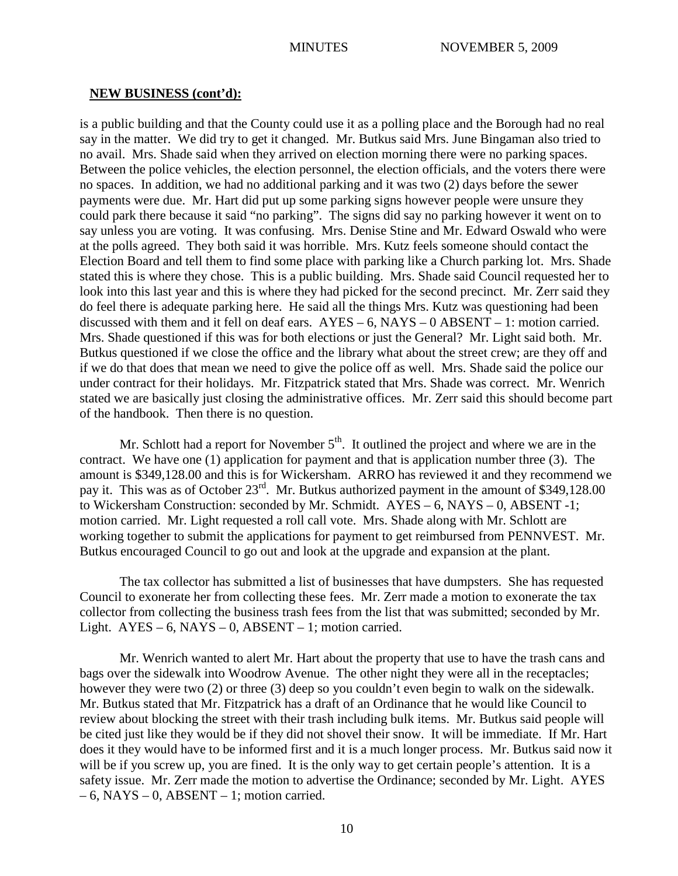### **NEW BUSINESS (cont'd):**

is a public building and that the County could use it as a polling place and the Borough had no real say in the matter. We did try to get it changed. Mr. Butkus said Mrs. June Bingaman also tried to no avail. Mrs. Shade said when they arrived on election morning there were no parking spaces. Between the police vehicles, the election personnel, the election officials, and the voters there were no spaces. In addition, we had no additional parking and it was two (2) days before the sewer payments were due. Mr. Hart did put up some parking signs however people were unsure they could park there because it said "no parking". The signs did say no parking however it went on to say unless you are voting. It was confusing. Mrs. Denise Stine and Mr. Edward Oswald who were at the polls agreed. They both said it was horrible. Mrs. Kutz feels someone should contact the Election Board and tell them to find some place with parking like a Church parking lot. Mrs. Shade stated this is where they chose. This is a public building. Mrs. Shade said Council requested her to look into this last year and this is where they had picked for the second precinct. Mr. Zerr said they do feel there is adequate parking here. He said all the things Mrs. Kutz was questioning had been discussed with them and it fell on deaf ears.  $AYES - 6$ ,  $NAYS - 0$   $ABSENT - 1$ : motion carried. Mrs. Shade questioned if this was for both elections or just the General? Mr. Light said both. Mr. Butkus questioned if we close the office and the library what about the street crew; are they off and if we do that does that mean we need to give the police off as well. Mrs. Shade said the police our under contract for their holidays. Mr. Fitzpatrick stated that Mrs. Shade was correct. Mr. Wenrich stated we are basically just closing the administrative offices. Mr. Zerr said this should become part of the handbook. Then there is no question.

Mr. Schlott had a report for November  $5<sup>th</sup>$ . It outlined the project and where we are in the contract. We have one (1) application for payment and that is application number three (3). The amount is \$349,128.00 and this is for Wickersham. ARRO has reviewed it and they recommend we pay it. This was as of October 23<sup>rd</sup>. Mr. Butkus authorized payment in the amount of \$349,128.00 to Wickersham Construction: seconded by Mr. Schmidt. AYES – 6, NAYS – 0, ABSENT -1; motion carried. Mr. Light requested a roll call vote. Mrs. Shade along with Mr. Schlott are working together to submit the applications for payment to get reimbursed from PENNVEST. Mr. Butkus encouraged Council to go out and look at the upgrade and expansion at the plant.

The tax collector has submitted a list of businesses that have dumpsters. She has requested Council to exonerate her from collecting these fees. Mr. Zerr made a motion to exonerate the tax collector from collecting the business trash fees from the list that was submitted; seconded by Mr. Light.  $AYES - 6$ ,  $NAYS - 0$ ,  $ABSENT - 1$ ; motion carried.

Mr. Wenrich wanted to alert Mr. Hart about the property that use to have the trash cans and bags over the sidewalk into Woodrow Avenue. The other night they were all in the receptacles; however they were two (2) or three (3) deep so you couldn't even begin to walk on the sidewalk. Mr. Butkus stated that Mr. Fitzpatrick has a draft of an Ordinance that he would like Council to review about blocking the street with their trash including bulk items. Mr. Butkus said people will be cited just like they would be if they did not shovel their snow. It will be immediate. If Mr. Hart does it they would have to be informed first and it is a much longer process. Mr. Butkus said now it will be if you screw up, you are fined. It is the only way to get certain people's attention. It is a safety issue. Mr. Zerr made the motion to advertise the Ordinance; seconded by Mr. Light. AYES  $-6$ , NAYS  $-0$ , ABSENT  $-1$ ; motion carried.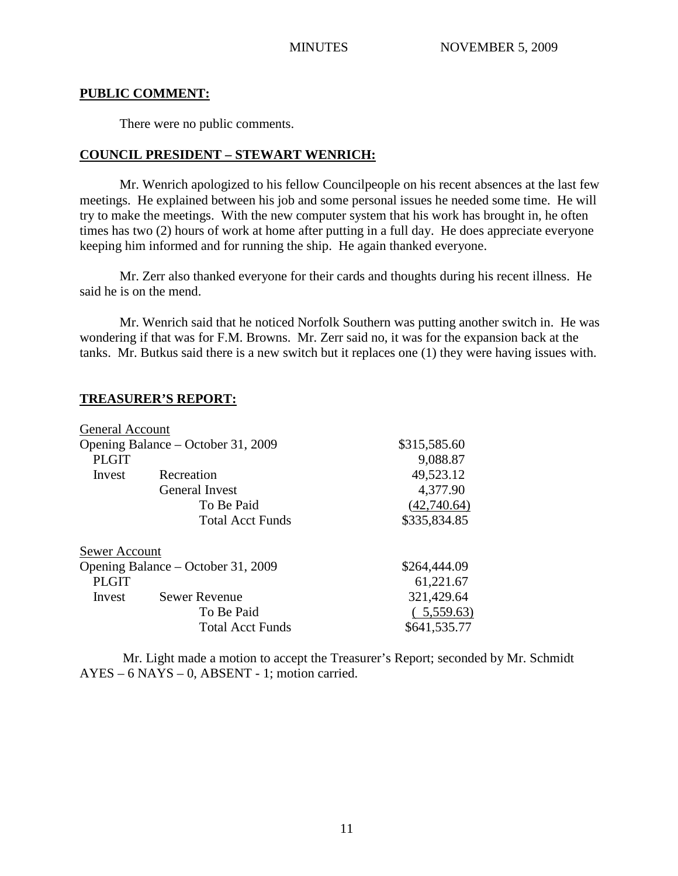## **PUBLIC COMMENT:**

There were no public comments.

# **COUNCIL PRESIDENT – STEWART WENRICH:**

Mr. Wenrich apologized to his fellow Councilpeople on his recent absences at the last few meetings. He explained between his job and some personal issues he needed some time. He will try to make the meetings. With the new computer system that his work has brought in, he often times has two (2) hours of work at home after putting in a full day. He does appreciate everyone keeping him informed and for running the ship. He again thanked everyone.

Mr. Zerr also thanked everyone for their cards and thoughts during his recent illness. He said he is on the mend.

Mr. Wenrich said that he noticed Norfolk Southern was putting another switch in. He was wondering if that was for F.M. Browns. Mr. Zerr said no, it was for the expansion back at the tanks. Mr. Butkus said there is a new switch but it replaces one (1) they were having issues with.

# **TREASURER'S REPORT:**

| <b>General Account</b>             |                         |              |
|------------------------------------|-------------------------|--------------|
| Opening Balance – October 31, 2009 |                         | \$315,585.60 |
| <b>PLGIT</b>                       |                         | 9,088.87     |
| Invest                             | Recreation              | 49,523.12    |
|                                    | General Invest          | 4,377.90     |
|                                    | To Be Paid              | (42,740.64)  |
|                                    | <b>Total Acct Funds</b> | \$335,834.85 |
| Sewer Account                      |                         |              |
| Opening Balance – October 31, 2009 |                         | \$264,444.09 |
| <b>PLGIT</b>                       |                         | 61,221.67    |
| Invest                             | Sewer Revenue           | 321,429.64   |
|                                    | To Be Paid              | (5,559.63)   |
|                                    | <b>Total Acct Funds</b> | \$641,535.77 |
|                                    |                         |              |

Mr. Light made a motion to accept the Treasurer's Report; seconded by Mr. Schmidt AYES – 6 NAYS – 0, ABSENT - 1; motion carried.